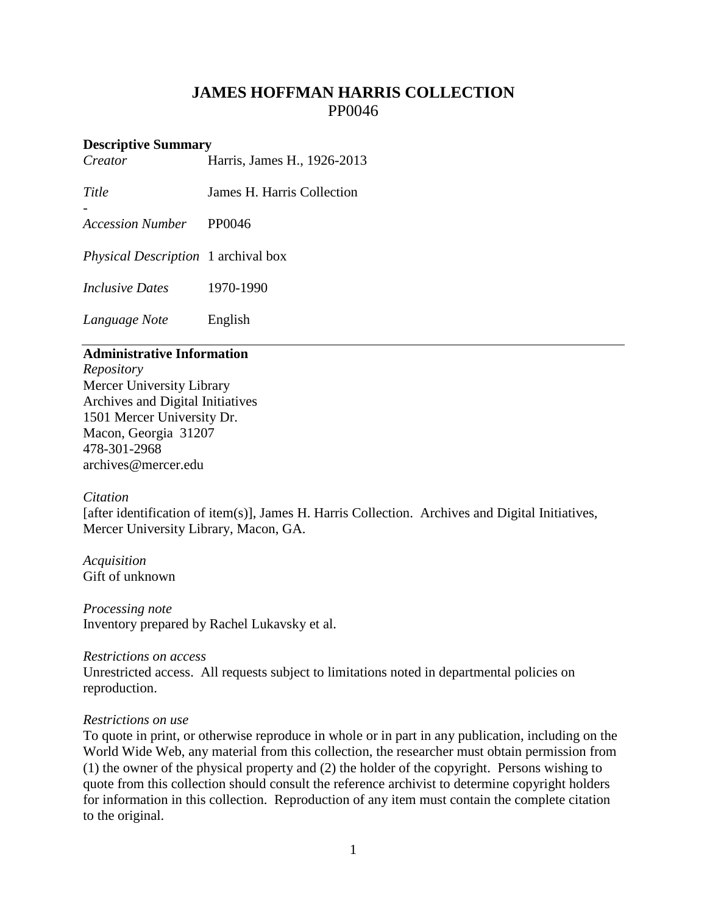## **JAMES HOFFMAN HARRIS COLLECTION** PP0046

# **Descriptive Summary**<br>Creator **H**

-

*Creator* Harris, James H., 1926-2013

*Title* James H. Harris Collection

*Accession Number* PP0046

*Physical Description* 1 archival box

*Inclusive Dates* 1970-1990

*Language Note* English

## **Administrative Information**

*Repository* Mercer University Library Archives and Digital Initiatives 1501 Mercer University Dr. Macon, Georgia 31207 478-301-2968 [archives@mercer.edu](mailto:archives@mercer.edu)

## *Citation*

[after identification of item(s)], James H. Harris Collection. Archives and Digital Initiatives, Mercer University Library, Macon, GA.

*Acquisition* Gift of unknown

*Processing note* Inventory prepared by Rachel Lukavsky et al.

#### *Restrictions on access*

Unrestricted access. All requests subject to limitations noted in departmental policies on reproduction.

## *Restrictions on use*

To quote in print, or otherwise reproduce in whole or in part in any publication, including on the World Wide Web, any material from this collection, the researcher must obtain permission from (1) the owner of the physical property and (2) the holder of the copyright. Persons wishing to quote from this collection should consult the reference archivist to determine copyright holders for information in this collection. Reproduction of any item must contain the complete citation to the original.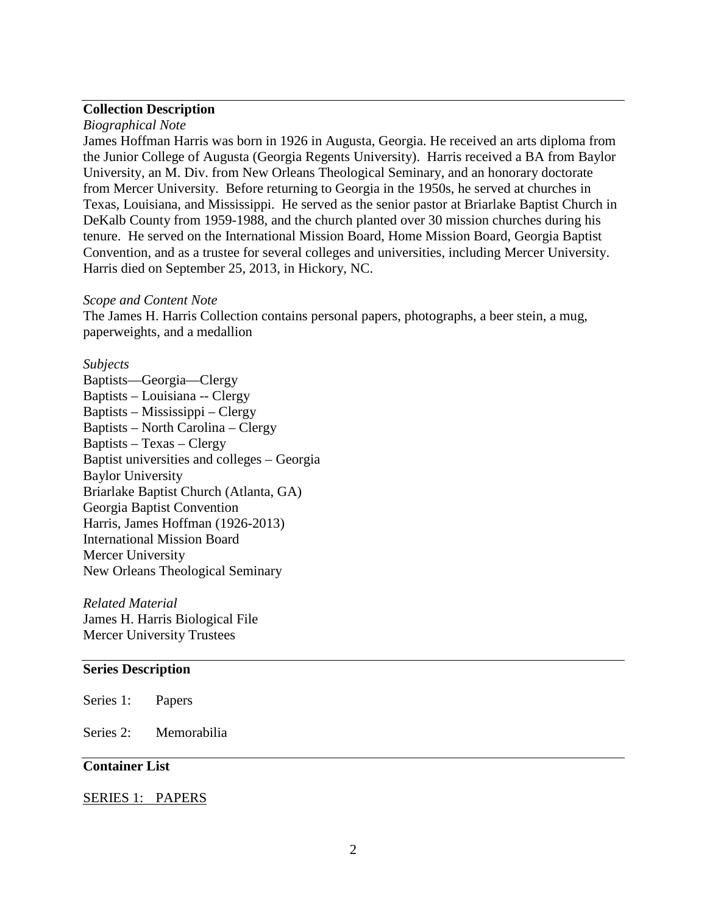## **Collection Description**

*Biographical Note*

James Hoffman Harris was born in 1926 in Augusta, Georgia. He received an arts diploma from the Junior College of Augusta (Georgia Regents University). Harris received a BA from Baylor University, an M. Div. from New Orleans Theological Seminary, and an honorary doctorate from Mercer University. Before returning to Georgia in the 1950s, he served at churches in Texas, Louisiana, and Mississippi. He served as the senior pastor at Briarlake Baptist Church in DeKalb County from 1959-1988, and the church planted over 30 mission churches during his tenure. He served on the International Mission Board, Home Mission Board, Georgia Baptist Convention, and as a trustee for several colleges and universities, including Mercer University. Harris died on September 25, 2013, in Hickory, NC.

#### *Scope and Content Note*

The James H. Harris Collection contains personal papers, photographs, a beer stein, a mug, paperweights, and a medallion

#### *Subjects*

Baptists—Georgia—Clergy Baptists – Louisiana -- Clergy Baptists – Mississippi – Clergy Baptists – North Carolina – Clergy Baptists – Texas – Clergy Baptist universities and colleges – Georgia Baylor University Briarlake Baptist Church (Atlanta, GA) Georgia Baptist Convention Harris, James Hoffman (1926-2013) International Mission Board Mercer University New Orleans Theological Seminary

*Related Material* James H. Harris Biological File Mercer University Trustees

#### **Series Description**

Series 1: Papers

Series 2: Memorabilia

#### **Container List**

#### SERIES 1: PAPERS